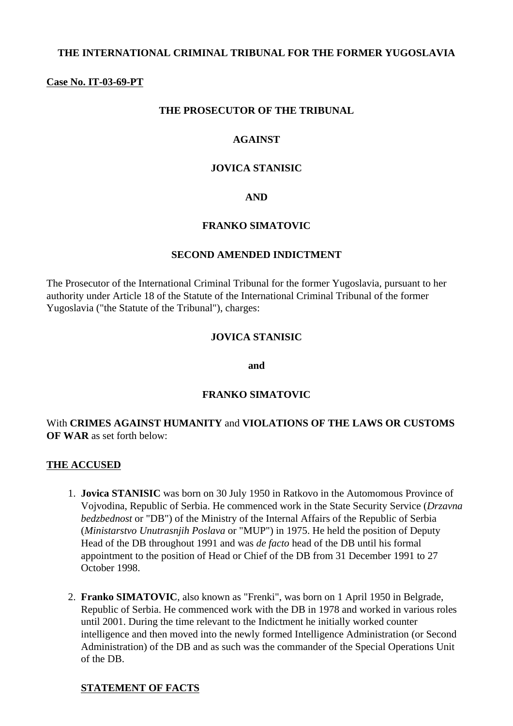### **THE INTERNATIONAL CRIMINAL TRIBUNAL FOR THE FORMER YUGOSLAVIA**

#### **Case No. IT-03-69-PT**

#### **THE PROSECUTOR OF THE TRIBUNAL**

### **AGAINST**

#### **JOVICA STANISIC**

#### **AND**

#### **FRANKO SIMATOVIC**

#### **SECOND AMENDED INDICTMENT**

The Prosecutor of the International Criminal Tribunal for the former Yugoslavia, pursuant to her authority under Article 18 of the Statute of the International Criminal Tribunal of the former Yugoslavia ("the Statute of the Tribunal"), charges:

#### **JOVICA STANISIC**

**and**

#### **FRANKO SIMATOVIC**

#### With **CRIMES AGAINST HUMANITY** and **VIOLATIONS OF THE LAWS OR CUSTOMS OF WAR** as set forth below:

#### **THE ACCUSED**

- 1. **Jovica STANISIC** was born on 30 July 1950 in Ratkovo in the Automomous Province of Vojvodina, Republic of Serbia. He commenced work in the State Security Service (*Drzavna bedzbednost* or "DB") of the Ministry of the Internal Affairs of the Republic of Serbia (*Ministarstvo Unutrasnjih Poslava* or "MUP") in 1975. He held the position of Deputy Head of the DB throughout 1991 and was *de facto* head of the DB until his formal appointment to the position of Head or Chief of the DB from 31 December 1991 to 27 October 1998.
- 2. **Franko SIMATOVIC**, also known as "Frenki", was born on 1 April 1950 in Belgrade, Republic of Serbia. He commenced work with the DB in 1978 and worked in various roles until 2001. During the time relevant to the Indictment he initially worked counter intelligence and then moved into the newly formed Intelligence Administration (or Second Administration) of the DB and as such was the commander of the Special Operations Unit of the DB.

#### **STATEMENT OF FACTS**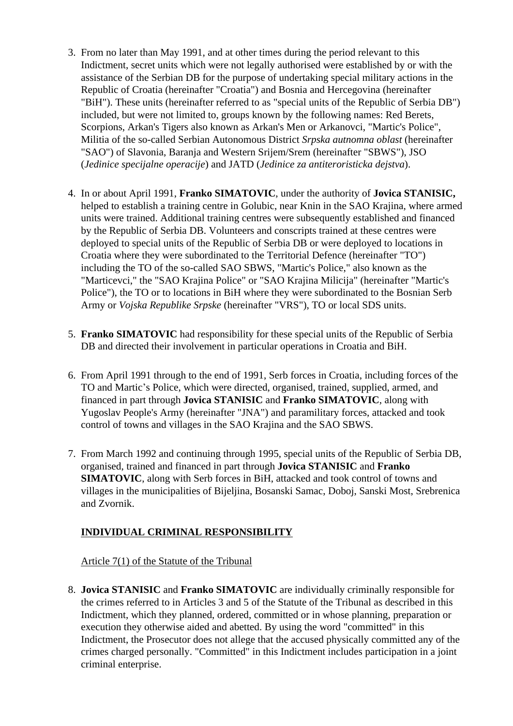- 3. From no later than May 1991, and at other times during the period relevant to this Indictment, secret units which were not legally authorised were established by or with the assistance of the Serbian DB for the purpose of undertaking special military actions in the Republic of Croatia (hereinafter "Croatia") and Bosnia and Hercegovina (hereinafter "BiH"). These units (hereinafter referred to as "special units of the Republic of Serbia DB") included, but were not limited to, groups known by the following names: Red Berets, Scorpions, Arkan's Tigers also known as Arkan's Men or Arkanovci, "Martic's Police", Militia of the so-called Serbian Autonomous District *Srpska autnomna oblast* (hereinafter "SAO") of Slavonia, Baranja and Western Srijem/Srem (hereinafter "SBWS"), JSO (*Jedinice specijalne operacije*) and JATD (*Jedinice za antiteroristicka dejstva*).
- 4. In or about April 1991, **Franko SIMATOVIC**, under the authority of **Jovica STANISIC,**  helped to establish a training centre in Golubic, near Knin in the SAO Krajina, where armed units were trained. Additional training centres were subsequently established and financed by the Republic of Serbia DB. Volunteers and conscripts trained at these centres were deployed to special units of the Republic of Serbia DB or were deployed to locations in Croatia where they were subordinated to the Territorial Defence (hereinafter "TO") including the TO of the so-called SAO SBWS, "Martic's Police," also known as the "Marticevci," the "SAO Krajina Police" or "SAO Krajina Milicija" (hereinafter "Martic's Police"), the TO or to locations in BiH where they were subordinated to the Bosnian Serb Army or *Vojska Republike Srpske* (hereinafter "VRS"), TO or local SDS units.
- 5. **Franko SIMATOVIC** had responsibility for these special units of the Republic of Serbia DB and directed their involvement in particular operations in Croatia and BiH.
- 6. From April 1991 through to the end of 1991, Serb forces in Croatia, including forces of the TO and Martic's Police, which were directed, organised, trained, supplied, armed, and financed in part through **Jovica STANISIC** and **Franko SIMATOVIC**, along with Yugoslav People's Army (hereinafter "JNA") and paramilitary forces, attacked and took control of towns and villages in the SAO Krajina and the SAO SBWS.
- 7. From March 1992 and continuing through 1995, special units of the Republic of Serbia DB, organised, trained and financed in part through **Jovica STANISIC** and **Franko SIMATOVIC**, along with Serb forces in BiH, attacked and took control of towns and villages in the municipalities of Bijeljina, Bosanski Samac, Doboj, Sanski Most, Srebrenica and Zvornik.

## **INDIVIDUAL CRIMINAL RESPONSIBILITY**

Article 7(1) of the Statute of the Tribunal

8. **Jovica STANISIC** and **Franko SIMATOVIC** are individually criminally responsible for the crimes referred to in Articles 3 and 5 of the Statute of the Tribunal as described in this Indictment, which they planned, ordered, committed or in whose planning, preparation or execution they otherwise aided and abetted. By using the word "committed" in this Indictment, the Prosecutor does not allege that the accused physically committed any of the crimes charged personally. "Committed" in this Indictment includes participation in a joint criminal enterprise.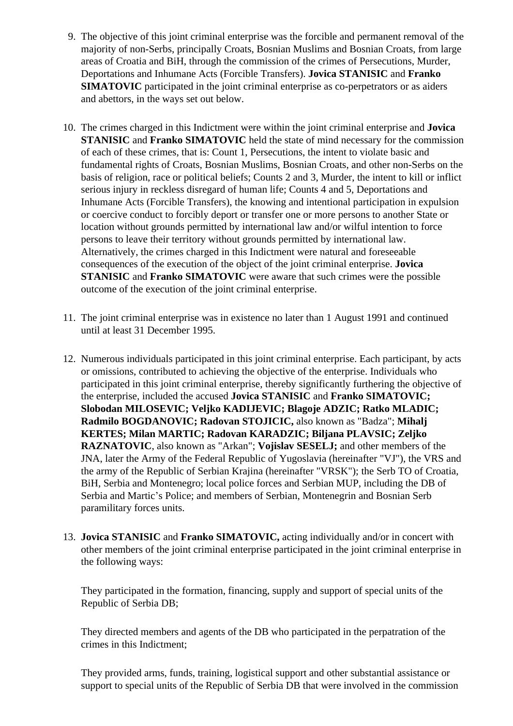- 9. The objective of this joint criminal enterprise was the forcible and permanent removal of the majority of non-Serbs, principally Croats, Bosnian Muslims and Bosnian Croats, from large areas of Croatia and BiH, through the commission of the crimes of Persecutions, Murder, Deportations and Inhumane Acts (Forcible Transfers). **Jovica STANISIC** and **Franko SIMATOVIC** participated in the joint criminal enterprise as co-perpetrators or as aiders and abettors, in the ways set out below.
- 10. The crimes charged in this Indictment were within the joint criminal enterprise and **Jovica STANISIC** and **Franko SIMATOVIC** held the state of mind necessary for the commission of each of these crimes, that is: Count 1, Persecutions, the intent to violate basic and fundamental rights of Croats, Bosnian Muslims, Bosnian Croats, and other non-Serbs on the basis of religion, race or political beliefs; Counts 2 and 3, Murder, the intent to kill or inflict serious injury in reckless disregard of human life; Counts 4 and 5, Deportations and Inhumane Acts (Forcible Transfers), the knowing and intentional participation in expulsion or coercive conduct to forcibly deport or transfer one or more persons to another State or location without grounds permitted by international law and/or wilful intention to force persons to leave their territory without grounds permitted by international law. Alternatively, the crimes charged in this Indictment were natural and foreseeable consequences of the execution of the object of the joint criminal enterprise. **Jovica STANISIC** and **Franko SIMATOVIC** were aware that such crimes were the possible outcome of the execution of the joint criminal enterprise.
- 11. The joint criminal enterprise was in existence no later than 1 August 1991 and continued until at least 31 December 1995.
- 12. Numerous individuals participated in this joint criminal enterprise. Each participant, by acts or omissions, contributed to achieving the objective of the enterprise. Individuals who participated in this joint criminal enterprise, thereby significantly furthering the objective of the enterprise, included the accused **Jovica STANISIC** and **Franko SIMATOVIC; Slobodan MILOSEVIC; Veljko KADIJEVIC; Blagoje ADZIC; Ratko MLADIC; Radmilo BOGDANOVIC; Radovan STOJICIC,** also known as "Badza"; **Mihalj KERTES; Milan MARTIC; Radovan KARADZIC; Biljana PLAVSIC; Zeljko RAZNATOVIC**, also known as "Arkan"; **Vojislav SESELJ;** and other members of the JNA, later the Army of the Federal Republic of Yugoslavia (hereinafter "VJ"), the VRS and the army of the Republic of Serbian Krajina (hereinafter "VRSK"); the Serb TO of Croatia, BiH, Serbia and Montenegro; local police forces and Serbian MUP, including the DB of Serbia and Martic's Police; and members of Serbian, Montenegrin and Bosnian Serb paramilitary forces units.
- 13. **Jovica STANISIC** and **Franko SIMATOVIC,** acting individually and/or in concert with other members of the joint criminal enterprise participated in the joint criminal enterprise in the following ways:

They participated in the formation, financing, supply and support of special units of the Republic of Serbia DB;

They directed members and agents of the DB who participated in the perpatration of the crimes in this Indictment;

They provided arms, funds, training, logistical support and other substantial assistance or support to special units of the Republic of Serbia DB that were involved in the commission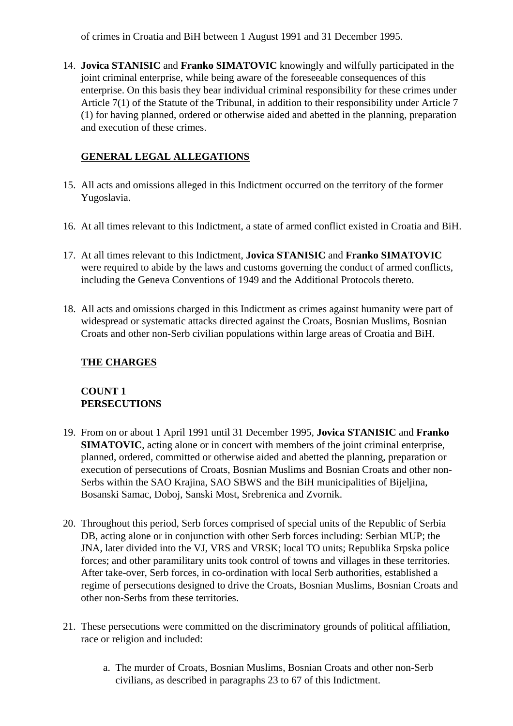of crimes in Croatia and BiH between 1 August 1991 and 31 December 1995.

14. **Jovica STANISIC** and **Franko SIMATOVIC** knowingly and wilfully participated in the joint criminal enterprise, while being aware of the foreseeable consequences of this enterprise. On this basis they bear individual criminal responsibility for these crimes under Article 7(1) of the Statute of the Tribunal, in addition to their responsibility under Article 7 (1) for having planned, ordered or otherwise aided and abetted in the planning, preparation and execution of these crimes.

## **GENERAL LEGAL ALLEGATIONS**

- 15. All acts and omissions alleged in this Indictment occurred on the territory of the former Yugoslavia.
- 16. At all times relevant to this Indictment, a state of armed conflict existed in Croatia and BiH.
- 17. At all times relevant to this Indictment, **Jovica STANISIC** and **Franko SIMATOVIC** were required to abide by the laws and customs governing the conduct of armed conflicts, including the Geneva Conventions of 1949 and the Additional Protocols thereto.
- 18. All acts and omissions charged in this Indictment as crimes against humanity were part of widespread or systematic attacks directed against the Croats, Bosnian Muslims, Bosnian Croats and other non-Serb civilian populations within large areas of Croatia and BiH.

## **THE CHARGES**

# **COUNT 1 PERSECUTIONS**

- 19. From on or about 1 April 1991 until 31 December 1995, **Jovica STANISIC** and **Franko SIMATOVIC**, acting alone or in concert with members of the joint criminal enterprise, planned, ordered, committed or otherwise aided and abetted the planning, preparation or execution of persecutions of Croats, Bosnian Muslims and Bosnian Croats and other non-Serbs within the SAO Krajina, SAO SBWS and the BiH municipalities of Bijeljina, Bosanski Samac, Doboj, Sanski Most, Srebrenica and Zvornik.
- 20. Throughout this period, Serb forces comprised of special units of the Republic of Serbia DB, acting alone or in conjunction with other Serb forces including: Serbian MUP; the JNA, later divided into the VJ, VRS and VRSK; local TO units; Republika Srpska police forces; and other paramilitary units took control of towns and villages in these territories. After take-over, Serb forces, in co-ordination with local Serb authorities, established a regime of persecutions designed to drive the Croats, Bosnian Muslims, Bosnian Croats and other non-Serbs from these territories.
- 21. These persecutions were committed on the discriminatory grounds of political affiliation, race or religion and included:
	- a. The murder of Croats, Bosnian Muslims, Bosnian Croats and other non-Serb civilians, as described in paragraphs 23 to 67 of this Indictment.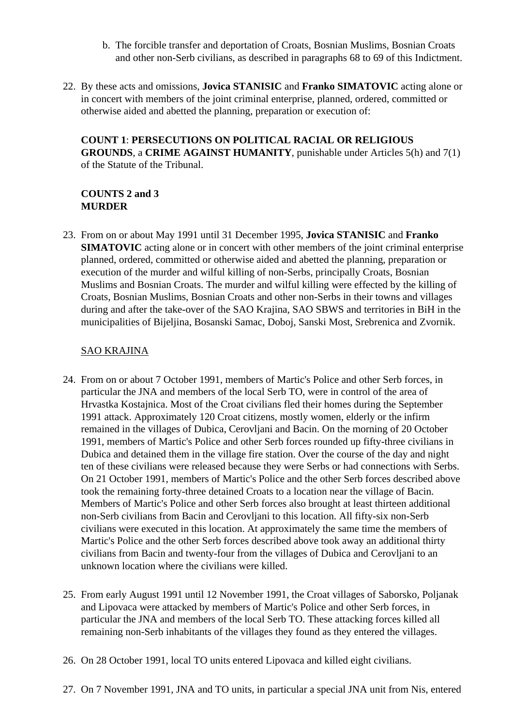- b. The forcible transfer and deportation of Croats, Bosnian Muslims, Bosnian Croats and other non-Serb civilians, as described in paragraphs 68 to 69 of this Indictment.
- 22. By these acts and omissions, **Jovica STANISIC** and **Franko SIMATOVIC** acting alone or in concert with members of the joint criminal enterprise, planned, ordered, committed or otherwise aided and abetted the planning, preparation or execution of:

**COUNT 1**: **PERSECUTIONS ON POLITICAL RACIAL OR RELIGIOUS GROUNDS**, a **CRIME AGAINST HUMANITY**, punishable under Articles 5(h) and 7(1) of the Statute of the Tribunal.

### **COUNTS 2 and 3 MURDER**

23. From on or about May 1991 until 31 December 1995, **Jovica STANISIC** and **Franko SIMATOVIC** acting alone or in concert with other members of the joint criminal enterprise planned, ordered, committed or otherwise aided and abetted the planning, preparation or execution of the murder and wilful killing of non-Serbs, principally Croats, Bosnian Muslims and Bosnian Croats. The murder and wilful killing were effected by the killing of Croats, Bosnian Muslims, Bosnian Croats and other non-Serbs in their towns and villages during and after the take-over of the SAO Krajina, SAO SBWS and territories in BiH in the municipalities of Bijeljina, Bosanski Samac, Doboj, Sanski Most, Srebrenica and Zvornik.

## SAO KRAJINA

- 24. From on or about 7 October 1991, members of Martic's Police and other Serb forces, in particular the JNA and members of the local Serb TO, were in control of the area of Hrvastka Kostajnica. Most of the Croat civilians fled their homes during the September 1991 attack. Approximately 120 Croat citizens, mostly women, elderly or the infirm remained in the villages of Dubica, Cerovljani and Bacin. On the morning of 20 October 1991, members of Martic's Police and other Serb forces rounded up fifty-three civilians in Dubica and detained them in the village fire station. Over the course of the day and night ten of these civilians were released because they were Serbs or had connections with Serbs. On 21 October 1991, members of Martic's Police and the other Serb forces described above took the remaining forty-three detained Croats to a location near the village of Bacin. Members of Martic's Police and other Serb forces also brought at least thirteen additional non-Serb civilians from Bacin and Cerovljani to this location. All fifty-six non-Serb civilians were executed in this location. At approximately the same time the members of Martic's Police and the other Serb forces described above took away an additional thirty civilians from Bacin and twenty-four from the villages of Dubica and Cerovljani to an unknown location where the civilians were killed.
- 25. From early August 1991 until 12 November 1991, the Croat villages of Saborsko, Poljanak and Lipovaca were attacked by members of Martic's Police and other Serb forces, in particular the JNA and members of the local Serb TO. These attacking forces killed all remaining non-Serb inhabitants of the villages they found as they entered the villages.
- 26. On 28 October 1991, local TO units entered Lipovaca and killed eight civilians.
- 27. On 7 November 1991, JNA and TO units, in particular a special JNA unit from Nis, entered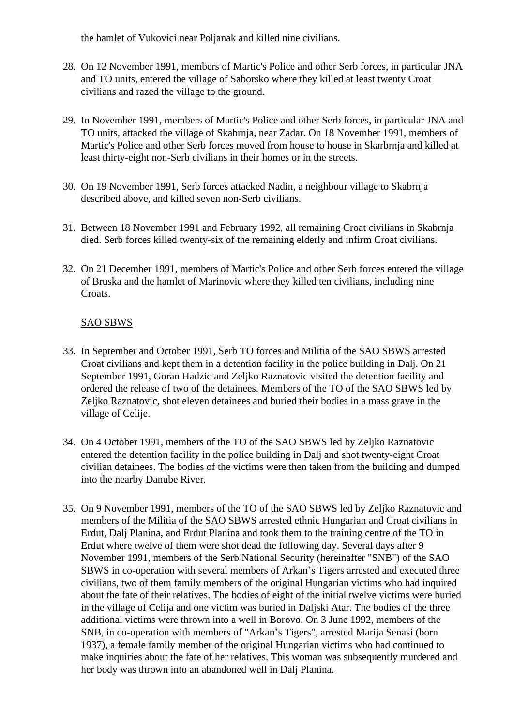the hamlet of Vukovici near Poljanak and killed nine civilians.

- 28. On 12 November 1991, members of Martic's Police and other Serb forces, in particular JNA and TO units, entered the village of Saborsko where they killed at least twenty Croat civilians and razed the village to the ground.
- 29. In November 1991, members of Martic's Police and other Serb forces, in particular JNA and TO units, attacked the village of Skabrnja, near Zadar. On 18 November 1991, members of Martic's Police and other Serb forces moved from house to house in Skarbrnja and killed at least thirty-eight non-Serb civilians in their homes or in the streets.
- 30. On 19 November 1991, Serb forces attacked Nadin, a neighbour village to Skabrnja described above, and killed seven non-Serb civilians.
- 31. Between 18 November 1991 and February 1992, all remaining Croat civilians in Skabrnja died. Serb forces killed twenty-six of the remaining elderly and infirm Croat civilians.
- 32. On 21 December 1991, members of Martic's Police and other Serb forces entered the village of Bruska and the hamlet of Marinovic where they killed ten civilians, including nine Croats.

### SAO SBWS

- 33. In September and October 1991, Serb TO forces and Militia of the SAO SBWS arrested Croat civilians and kept them in a detention facility in the police building in Dalj. On 21 September 1991, Goran Hadzic and Zeljko Raznatovic visited the detention facility and ordered the release of two of the detainees. Members of the TO of the SAO SBWS led by Zeljko Raznatovic, shot eleven detainees and buried their bodies in a mass grave in the village of Celije.
- 34. On 4 October 1991, members of the TO of the SAO SBWS led by Zeljko Raznatovic entered the detention facility in the police building in Dalj and shot twenty-eight Croat civilian detainees. The bodies of the victims were then taken from the building and dumped into the nearby Danube River.
- 35. On 9 November 1991, members of the TO of the SAO SBWS led by Zeljko Raznatovic and members of the Militia of the SAO SBWS arrested ethnic Hungarian and Croat civilians in Erdut, Dalj Planina, and Erdut Planina and took them to the training centre of the TO in Erdut where twelve of them were shot dead the following day. Several days after 9 November 1991, members of the Serb National Security (hereinafter "SNB") of the SAO SBWS in co-operation with several members of Arkan's Tigers arrested and executed three civilians, two of them family members of the original Hungarian victims who had inquired about the fate of their relatives. The bodies of eight of the initial twelve victims were buried in the village of Celija and one victim was buried in Daljski Atar. The bodies of the three additional victims were thrown into a well in Borovo. On 3 June 1992, members of the SNB, in co-operation with members of "Arkan's Tigers", arrested Marija Senasi (born 1937), a female family member of the original Hungarian victims who had continued to make inquiries about the fate of her relatives. This woman was subsequently murdered and her body was thrown into an abandoned well in Dalj Planina.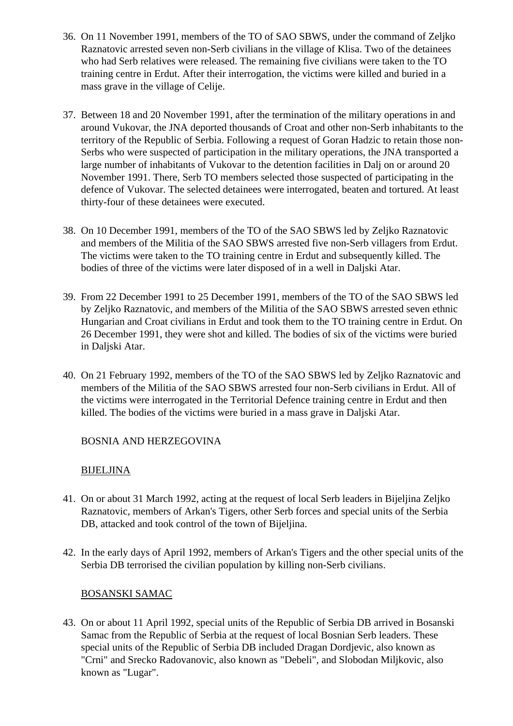- 36. On 11 November 1991, members of the TO of SAO SBWS, under the command of Zeljko Raznatovic arrested seven non-Serb civilians in the village of Klisa. Two of the detainees who had Serb relatives were released. The remaining five civilians were taken to the TO training centre in Erdut. After their interrogation, the victims were killed and buried in a mass grave in the village of Celije.
- 37. Between 18 and 20 November 1991, after the termination of the military operations in and around Vukovar, the JNA deported thousands of Croat and other non-Serb inhabitants to the territory of the Republic of Serbia. Following a request of Goran Hadzic to retain those non-Serbs who were suspected of participation in the military operations, the JNA transported a large number of inhabitants of Vukovar to the detention facilities in Dalj on or around 20 November 1991. There, Serb TO members selected those suspected of participating in the defence of Vukovar. The selected detainees were interrogated, beaten and tortured. At least thirty-four of these detainees were executed.
- 38. On 10 December 1991, members of the TO of the SAO SBWS led by Zeljko Raznatovic and members of the Militia of the SAO SBWS arrested five non-Serb villagers from Erdut. The victims were taken to the TO training centre in Erdut and subsequently killed. The bodies of three of the victims were later disposed of in a well in Daljski Atar.
- 39. From 22 December 1991 to 25 December 1991, members of the TO of the SAO SBWS led by Zeljko Raznatovic, and members of the Militia of the SAO SBWS arrested seven ethnic Hungarian and Croat civilians in Erdut and took them to the TO training centre in Erdut. On 26 December 1991, they were shot and killed. The bodies of six of the victims were buried in Daljski Atar.
- 40. On 21 February 1992, members of the TO of the SAO SBWS led by Zeljko Raznatovic and members of the Militia of the SAO SBWS arrested four non-Serb civilians in Erdut. All of the victims were interrogated in the Territorial Defence training centre in Erdut and then killed. The bodies of the victims were buried in a mass grave in Daljski Atar.

## BOSNIA AND HERZEGOVINA

### BIJELJINA

- 41. On or about 31 March 1992, acting at the request of local Serb leaders in Bijeljina Zeljko Raznatovic, members of Arkan's Tigers, other Serb forces and special units of the Serbia DB, attacked and took control of the town of Bijeljina.
- 42. In the early days of April 1992, members of Arkan's Tigers and the other special units of the Serbia DB terrorised the civilian population by killing non-Serb civilians.

## BOSANSKI SAMAC

43. On or about 11 April 1992, special units of the Republic of Serbia DB arrived in Bosanski Samac from the Republic of Serbia at the request of local Bosnian Serb leaders. These special units of the Republic of Serbia DB included Dragan Dordjevic, also known as "Crni" and Srecko Radovanovic, also known as "Debeli", and Slobodan Miljkovic, also known as "Lugar".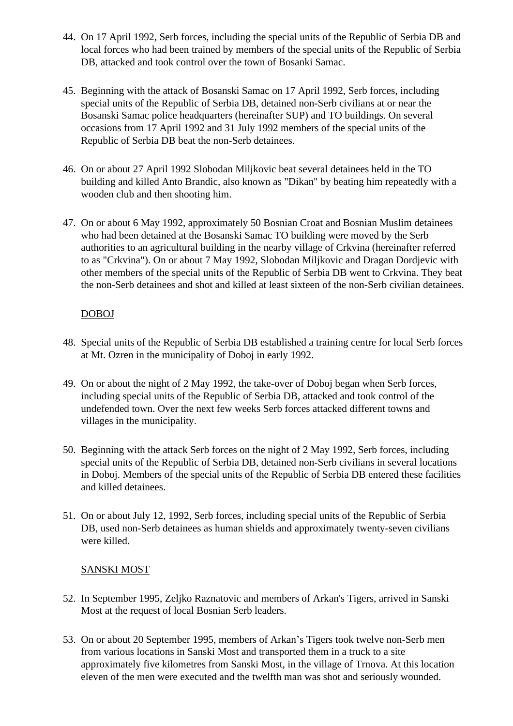- 44. On 17 April 1992, Serb forces, including the special units of the Republic of Serbia DB and local forces who had been trained by members of the special units of the Republic of Serbia DB, attacked and took control over the town of Bosanki Samac.
- 45. Beginning with the attack of Bosanski Samac on 17 April 1992, Serb forces, including special units of the Republic of Serbia DB, detained non-Serb civilians at or near the Bosanski Samac police headquarters (hereinafter SUP) and TO buildings. On several occasions from 17 April 1992 and 31 July 1992 members of the special units of the Republic of Serbia DB beat the non-Serb detainees.
- 46. On or about 27 April 1992 Slobodan Miljkovic beat several detainees held in the TO building and killed Anto Brandic, also known as "Dikan" by beating him repeatedly with a wooden club and then shooting him.
- 47. On or about 6 May 1992, approximately 50 Bosnian Croat and Bosnian Muslim detainees who had been detained at the Bosanski Samac TO building were moved by the Serb authorities to an agricultural building in the nearby village of Crkvina (hereinafter referred to as "Crkvina"). On or about 7 May 1992, Slobodan Miljkovic and Dragan Dordjevic with other members of the special units of the Republic of Serbia DB went to Crkvina. They beat the non-Serb detainees and shot and killed at least sixteen of the non-Serb civilian detainees.

### DOBOJ

- 48. Special units of the Republic of Serbia DB established a training centre for local Serb forces at Mt. Ozren in the municipality of Doboj in early 1992.
- 49. On or about the night of 2 May 1992, the take-over of Doboj began when Serb forces, including special units of the Republic of Serbia DB, attacked and took control of the undefended town. Over the next few weeks Serb forces attacked different towns and villages in the municipality.
- 50. Beginning with the attack Serb forces on the night of 2 May 1992, Serb forces, including special units of the Republic of Serbia DB, detained non-Serb civilians in several locations in Doboj. Members of the special units of the Republic of Serbia DB entered these facilities and killed detainees.
- 51. On or about July 12, 1992, Serb forces, including special units of the Republic of Serbia DB, used non-Serb detainees as human shields and approximately twenty-seven civilians were killed.

## SANSKI MOST

- 52. In September 1995, Zeljko Raznatovic and members of Arkan's Tigers, arrived in Sanski Most at the request of local Bosnian Serb leaders.
- 53. On or about 20 September 1995, members of Arkan's Tigers took twelve non-Serb men from various locations in Sanski Most and transported them in a truck to a site approximately five kilometres from Sanski Most, in the village of Trnova. At this location eleven of the men were executed and the twelfth man was shot and seriously wounded.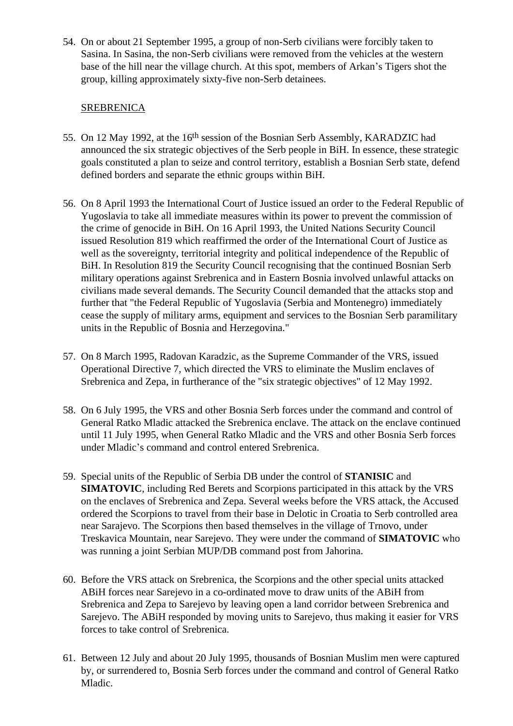54. On or about 21 September 1995, a group of non-Serb civilians were forcibly taken to Sasina. In Sasina, the non-Serb civilians were removed from the vehicles at the western base of the hill near the village church. At this spot, members of Arkan's Tigers shot the group, killing approximately sixty-five non-Serb detainees.

### SREBRENICA

- 55. On 12 May 1992, at the 16th session of the Bosnian Serb Assembly, KARADZIC had announced the six strategic objectives of the Serb people in BiH. In essence, these strategic goals constituted a plan to seize and control territory, establish a Bosnian Serb state, defend defined borders and separate the ethnic groups within BiH.
- 56. On 8 April 1993 the International Court of Justice issued an order to the Federal Republic of Yugoslavia to take all immediate measures within its power to prevent the commission of the crime of genocide in BiH. On 16 April 1993, the United Nations Security Council issued Resolution 819 which reaffirmed the order of the International Court of Justice as well as the sovereignty, territorial integrity and political independence of the Republic of BiH. In Resolution 819 the Security Council recognising that the continued Bosnian Serb military operations against Srebrenica and in Eastern Bosnia involved unlawful attacks on civilians made several demands. The Security Council demanded that the attacks stop and further that "the Federal Republic of Yugoslavia (Serbia and Montenegro) immediately cease the supply of military arms, equipment and services to the Bosnian Serb paramilitary units in the Republic of Bosnia and Herzegovina."
- 57. On 8 March 1995, Radovan Karadzic, as the Supreme Commander of the VRS, issued Operational Directive 7, which directed the VRS to eliminate the Muslim enclaves of Srebrenica and Zepa, in furtherance of the "six strategic objectives" of 12 May 1992.
- 58. On 6 July 1995, the VRS and other Bosnia Serb forces under the command and control of General Ratko Mladic attacked the Srebrenica enclave. The attack on the enclave continued until 11 July 1995, when General Ratko Mladic and the VRS and other Bosnia Serb forces under Mladic's command and control entered Srebrenica.
- 59. Special units of the Republic of Serbia DB under the control of **STANISIC** and **SIMATOVIC**, including Red Berets and Scorpions participated in this attack by the VRS on the enclaves of Srebrenica and Zepa. Several weeks before the VRS attack, the Accused ordered the Scorpions to travel from their base in Delotic in Croatia to Serb controlled area near Sarajevo. The Scorpions then based themselves in the village of Trnovo, under Treskavica Mountain, near Sarejevo. They were under the command of **SIMATOVIC** who was running a joint Serbian MUP/DB command post from Jahorina.
- 60. Before the VRS attack on Srebrenica, the Scorpions and the other special units attacked ABiH forces near Sarejevo in a co-ordinated move to draw units of the ABiH from Srebrenica and Zepa to Sarejevo by leaving open a land corridor between Srebrenica and Sarejevo. The ABiH responded by moving units to Sarejevo, thus making it easier for VRS forces to take control of Srebrenica.
- 61. Between 12 July and about 20 July 1995, thousands of Bosnian Muslim men were captured by, or surrendered to, Bosnia Serb forces under the command and control of General Ratko Mladic.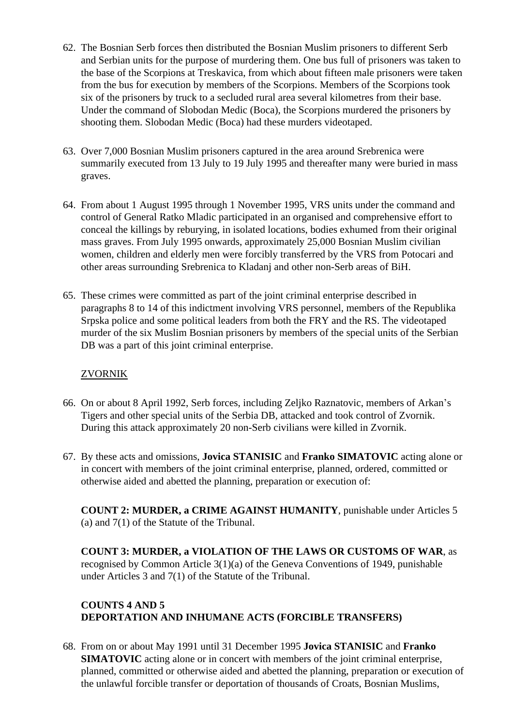- 62. The Bosnian Serb forces then distributed the Bosnian Muslim prisoners to different Serb and Serbian units for the purpose of murdering them. One bus full of prisoners was taken to the base of the Scorpions at Treskavica, from which about fifteen male prisoners were taken from the bus for execution by members of the Scorpions. Members of the Scorpions took six of the prisoners by truck to a secluded rural area several kilometres from their base. Under the command of Slobodan Medic (Boca), the Scorpions murdered the prisoners by shooting them. Slobodan Medic (Boca) had these murders videotaped.
- 63. Over 7,000 Bosnian Muslim prisoners captured in the area around Srebrenica were summarily executed from 13 July to 19 July 1995 and thereafter many were buried in mass graves.
- 64. From about 1 August 1995 through 1 November 1995, VRS units under the command and control of General Ratko Mladic participated in an organised and comprehensive effort to conceal the killings by reburying, in isolated locations, bodies exhumed from their original mass graves. From July 1995 onwards, approximately 25,000 Bosnian Muslim civilian women, children and elderly men were forcibly transferred by the VRS from Potocari and other areas surrounding Srebrenica to Kladanj and other non-Serb areas of BiH.
- 65. These crimes were committed as part of the joint criminal enterprise described in paragraphs 8 to 14 of this indictment involving VRS personnel, members of the Republika Srpska police and some political leaders from both the FRY and the RS. The videotaped murder of the six Muslim Bosnian prisoners by members of the special units of the Serbian DB was a part of this joint criminal enterprise.

### ZVORNIK

- 66. On or about 8 April 1992, Serb forces, including Zeljko Raznatovic, members of Arkan's Tigers and other special units of the Serbia DB, attacked and took control of Zvornik. During this attack approximately 20 non-Serb civilians were killed in Zvornik.
- 67. By these acts and omissions, **Jovica STANISIC** and **Franko SIMATOVIC** acting alone or in concert with members of the joint criminal enterprise, planned, ordered, committed or otherwise aided and abetted the planning, preparation or execution of:

**COUNT 2: MURDER, a CRIME AGAINST HUMANITY**, punishable under Articles 5 (a) and 7(1) of the Statute of the Tribunal.

**COUNT 3: MURDER, a VIOLATION OF THE LAWS OR CUSTOMS OF WAR**, as recognised by Common Article 3(1)(a) of the Geneva Conventions of 1949, punishable under Articles 3 and 7(1) of the Statute of the Tribunal.

# **COUNTS 4 AND 5 DEPORTATION AND INHUMANE ACTS (FORCIBLE TRANSFERS)**

68. From on or about May 1991 until 31 December 1995 **Jovica STANISIC** and **Franko SIMATOVIC** acting alone or in concert with members of the joint criminal enterprise, planned, committed or otherwise aided and abetted the planning, preparation or execution of the unlawful forcible transfer or deportation of thousands of Croats, Bosnian Muslims,